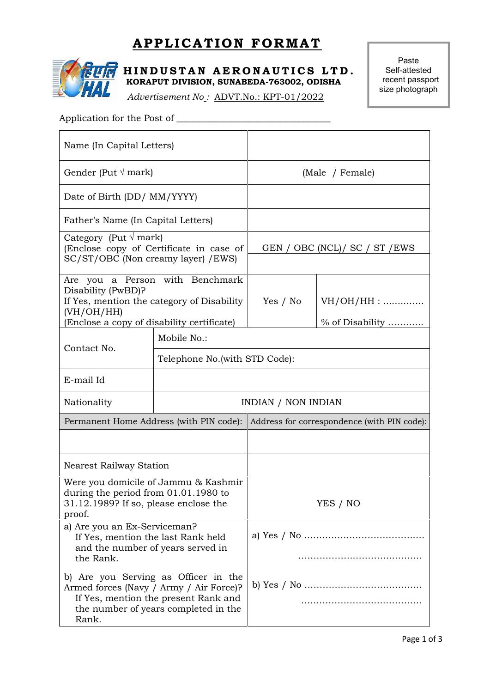# **APPLICATION FORMAT**<br> **INDUSTAN AERONAUTICS LTD.** Self-attes



**APPLICATION FORMAT**<br> **HINDUSTAN AERONAUTICS LTD.** Paste<br> **EXPRESED RORAPUT DIVISION, SUNABEDA-763002, ODISHA** Self-attested<br> *Advertisement No.*: ADVT No.: KPT 01/2022 **KORAPUT DIVISION, SUNABEDA-763002, ODISHA**

*Advertisement No :* ADVT.No.: KPT-01/2022

Paste Self-attested recent passport size photograph

# Application for the Post of \_\_\_\_\_\_\_\_\_\_\_\_\_\_\_\_\_\_\_\_\_\_\_\_\_\_\_\_\_\_\_\_\_\_

| Name (In Capital Letters)                                                                                                         |                                                                                                                                                                 |                                                                                                             |                                 |  |  |  |
|-----------------------------------------------------------------------------------------------------------------------------------|-----------------------------------------------------------------------------------------------------------------------------------------------------------------|-------------------------------------------------------------------------------------------------------------|---------------------------------|--|--|--|
| Gender (Put $\sqrt{mark}$ )                                                                                                       |                                                                                                                                                                 |                                                                                                             | (Male / Female)                 |  |  |  |
| Date of Birth (DD/ MM/YYYY)                                                                                                       |                                                                                                                                                                 |                                                                                                             |                                 |  |  |  |
| Father's Name (In Capital Letters)                                                                                                |                                                                                                                                                                 |                                                                                                             |                                 |  |  |  |
| Category (Put $\sqrt{\text{mark}}$ )<br>(Enclose copy of Certificate in case of<br>SC/ST/OBC (Non creamy layer) / EWS)            |                                                                                                                                                                 | GEN / OBC (NCL) / SC / ST / EWS                                                                             |                                 |  |  |  |
| Disability (PwBD)?<br>(VH/OH/HH)<br>(Enclose a copy of disability certificate)                                                    | Are you a Person with Benchmark<br>If Yes, mention the category of Disability                                                                                   | Yes / No                                                                                                    | $VH/OH/HH$ :<br>% of Disability |  |  |  |
|                                                                                                                                   | Mobile No.:                                                                                                                                                     |                                                                                                             |                                 |  |  |  |
| Contact No.                                                                                                                       |                                                                                                                                                                 | Telephone No. (with STD Code):<br><b>INDIAN / NON INDIAN</b><br>Address for correspondence (with PIN code): |                                 |  |  |  |
| E-mail Id                                                                                                                         |                                                                                                                                                                 |                                                                                                             |                                 |  |  |  |
| Nationality                                                                                                                       |                                                                                                                                                                 |                                                                                                             |                                 |  |  |  |
| Permanent Home Address (with PIN code):                                                                                           |                                                                                                                                                                 |                                                                                                             |                                 |  |  |  |
|                                                                                                                                   |                                                                                                                                                                 |                                                                                                             |                                 |  |  |  |
| <b>Nearest Railway Station</b>                                                                                                    |                                                                                                                                                                 |                                                                                                             |                                 |  |  |  |
| Were you domicile of Jammu & Kashmir<br>during the period from $01.01.1980$ to<br>31.12.1989? If so, please enclose the<br>proof. |                                                                                                                                                                 | YES / NO                                                                                                    |                                 |  |  |  |
| a) Are you an Ex-Serviceman?<br>If Yes, mention the last Rank held<br>and the number of years served in<br>the Rank.              |                                                                                                                                                                 |                                                                                                             |                                 |  |  |  |
| Rank.                                                                                                                             | b) Are you Serving as Officer in the<br>Armed forces (Navy / Army / Air Force)?<br>If Yes, mention the present Rank and<br>the number of years completed in the |                                                                                                             |                                 |  |  |  |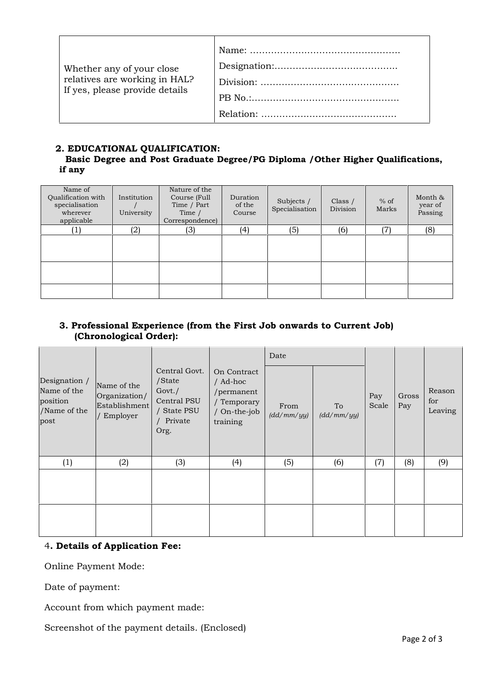| Whether any of your close                                       |  |
|-----------------------------------------------------------------|--|
| relatives are working in HAL?<br>If yes, please provide details |  |
|                                                                 |  |
|                                                                 |  |

### **2. EDUCATIONAL QUALIFICATION:**

### **Basic Degree and Post Graduate Degree/PG Diploma /Other Higher Qualifications, if any**

| Name of<br>Qualification with<br>specialisation<br>wherever<br>applicable | Institution<br>University | Nature of the<br>Course (Full<br>Time / Part<br>Time /<br>Correspondence) | Duration<br>of the<br>Course | Subjects /<br>Specialisation | Class $/$<br>Division | $%$ of<br>Marks | Month &<br>year of<br>Passing |
|---------------------------------------------------------------------------|---------------------------|---------------------------------------------------------------------------|------------------------------|------------------------------|-----------------------|-----------------|-------------------------------|
| $\left( 1\right)$                                                         | (2)                       | (3)                                                                       | (4)                          | (5)                          | (6)                   | 17              | (8)                           |
|                                                                           |                           |                                                                           |                              |                              |                       |                 |                               |
|                                                                           |                           |                                                                           |                              |                              |                       |                 |                               |
|                                                                           |                           |                                                                           |                              |                              |                       |                 |                               |

### **3. Professional Experience (from the First Job onwards to Current Job) (Chronological Order):**

|                                                                  |                                                           |                                                                                    |                                                                                  | Date               |                  |              |              |                          |  |
|------------------------------------------------------------------|-----------------------------------------------------------|------------------------------------------------------------------------------------|----------------------------------------------------------------------------------|--------------------|------------------|--------------|--------------|--------------------------|--|
| Designation /<br>Name of the<br>position<br>/Name of the<br>post | Name of the<br>Organization/<br>Establishment<br>Employer | Central Govt.<br>/State<br>Govt./<br>Central PSU<br>/ State PSU<br>Private<br>Org. | On Contract<br>/ Ad-hoc<br>/permanent<br>/ Temporary<br>/ On-the-job<br>training | From<br>(dd/mm/yy) | To<br>(dd/mm/yy) | Pay<br>Scale | Gross<br>Pay | Reason<br>for<br>Leaving |  |
| (1)                                                              | (2)                                                       | (3)                                                                                | (4)                                                                              | (5)                | (6)              | (7)          | (8)          | (9)                      |  |
|                                                                  |                                                           |                                                                                    |                                                                                  |                    |                  |              |              |                          |  |

### 4**. Details of Application Fee:**

Online Payment Mode:

Date of payment:

Account from which payment made:

Screenshot of the payment details. (Enclosed)